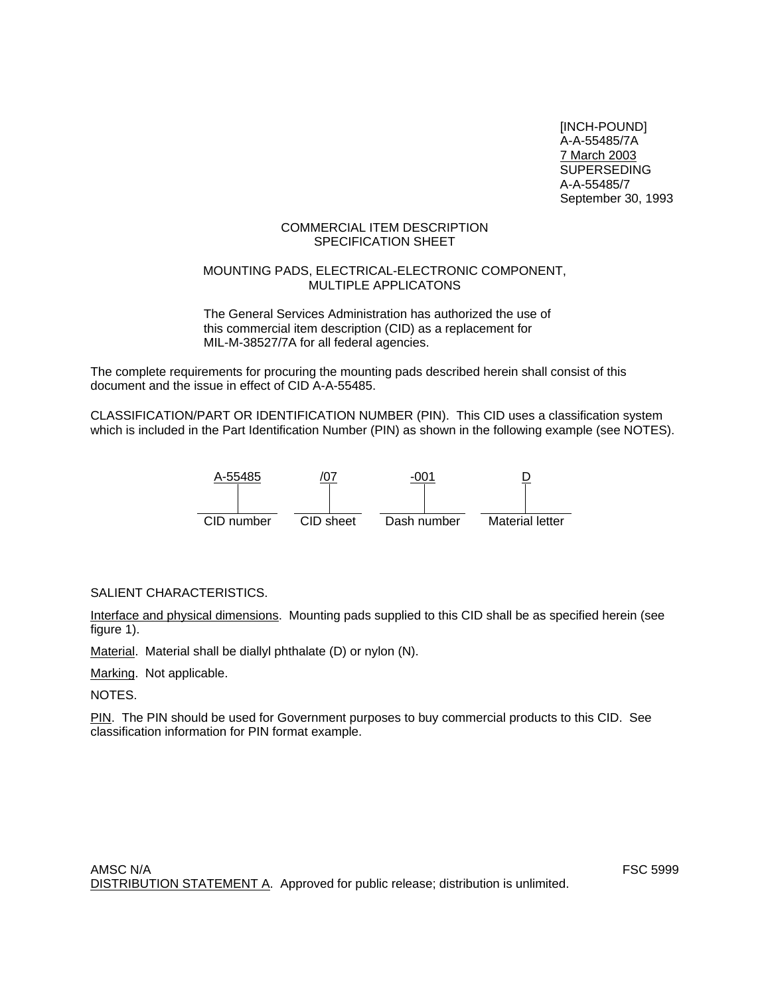[INCH-POUND] A-A-55485/7A 7 March 2003 SUPERSEDING A-A-55485/7 September 30, 1993

## COMMERCIAL ITEM DESCRIPTION SPECIFICATION SHEET

#### MOUNTING PADS, ELECTRICAL-ELECTRONIC COMPONENT, MULTIPLE APPLICATONS

The General Services Administration has authorized the use of this commercial item description (CID) as a replacement for MIL-M-38527/7A for all federal agencies.

The complete requirements for procuring the mounting pads described herein shall consist of this document and the issue in effect of CID A-A-55485.

CLASSIFICATION/PART OR IDENTIFICATION NUMBER (PIN). This CID uses a classification system which is included in the Part Identification Number (PIN) as shown in the following example (see NOTES).



## SALIENT CHARACTERISTICS.

Interface and physical dimensions. Mounting pads supplied to this CID shall be as specified herein (see figure 1).

Material. Material shall be diallyl phthalate (D) or nylon (N).

Marking. Not applicable.

NOTES.

PIN. The PIN should be used for Government purposes to buy commercial products to this CID. See classification information for PIN format example.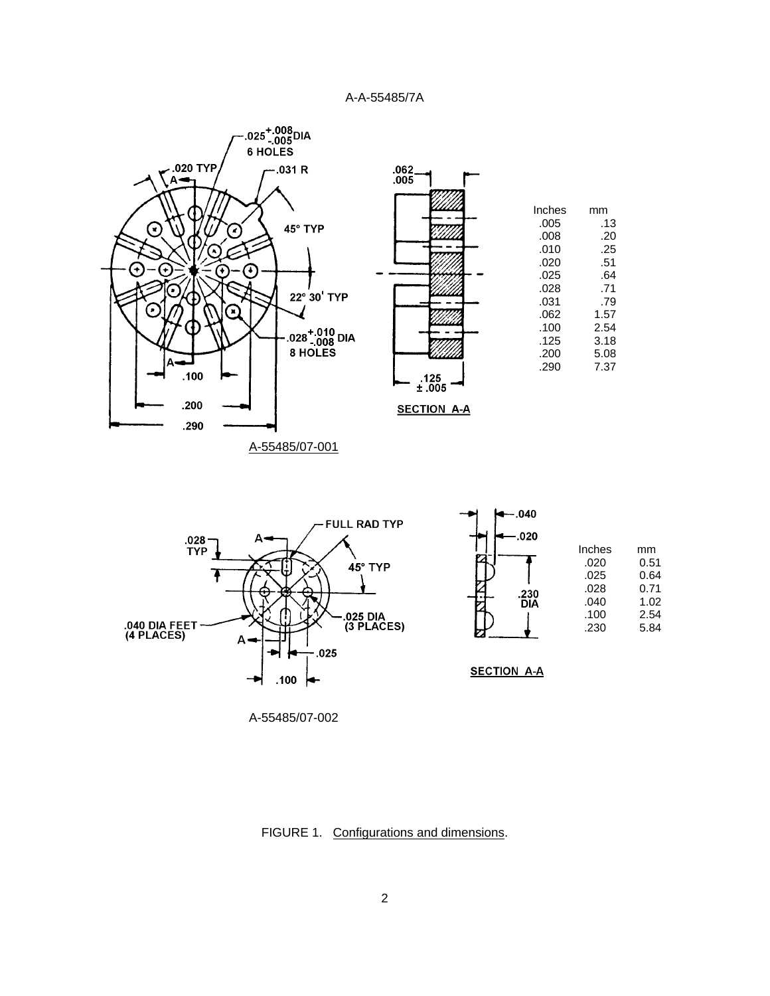

A-55485/07-002

FIGURE 1. Configurations and dimensions.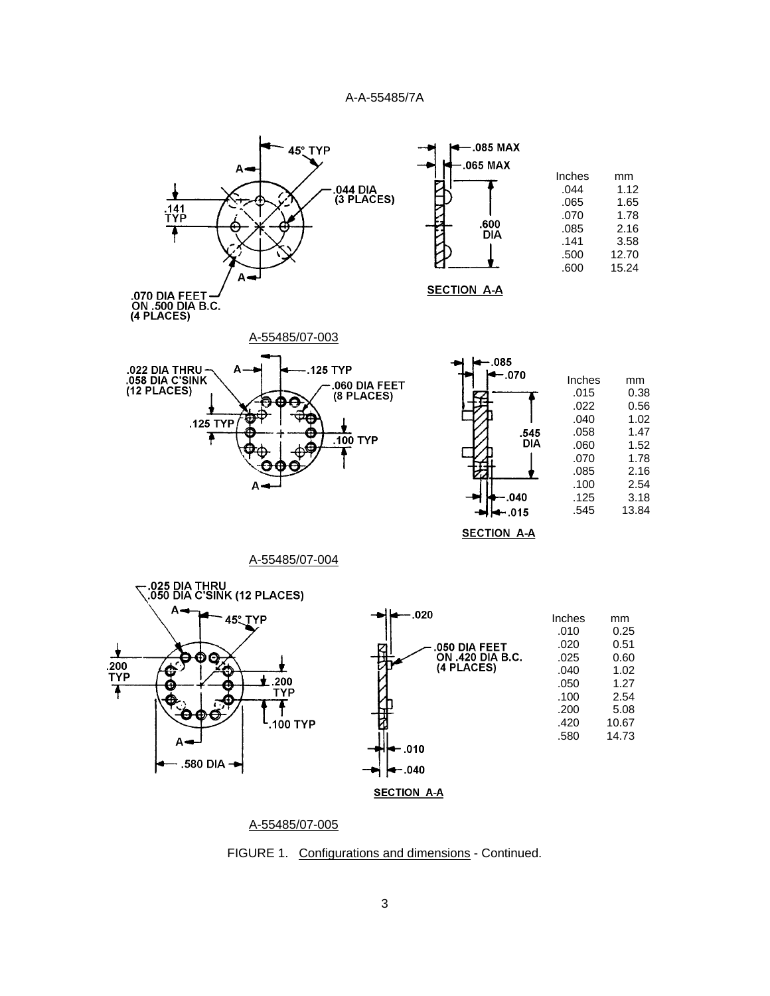

A-55485/07-005

FIGURE 1. Configurations and dimensions - Continued.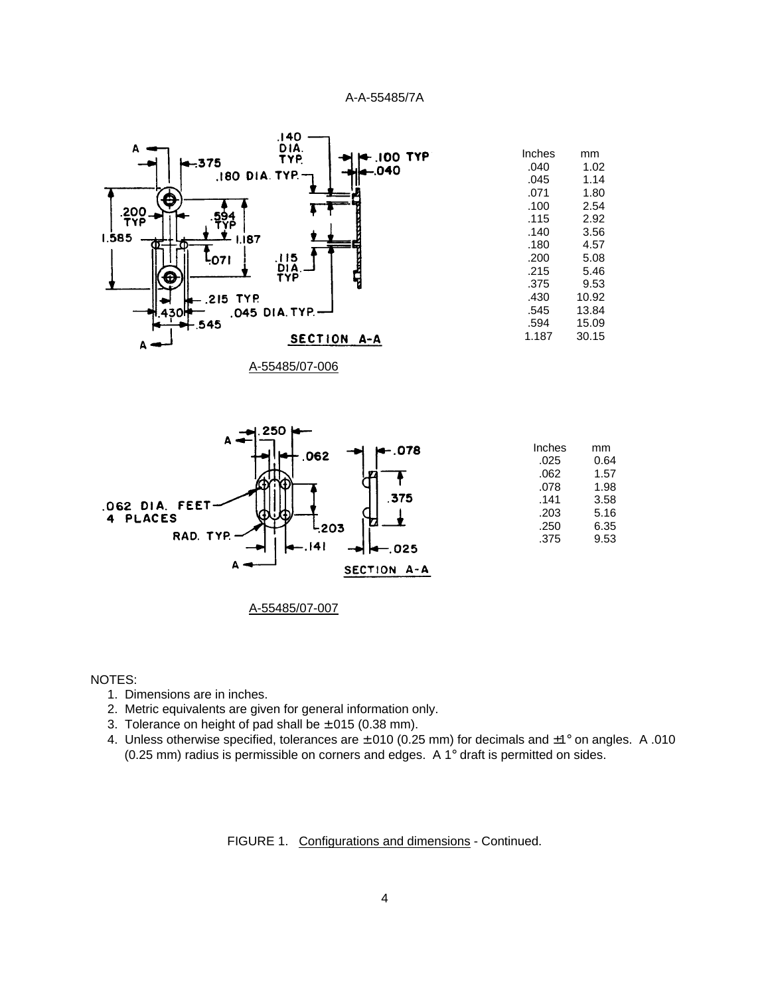

A-55485/07-006



A-55485/07-007

#### NOTES:

- 1. Dimensions are in inches.
- 2. Metric equivalents are given for general information only.
- 3. Tolerance on height of pad shall be  $\pm$ .015 (0.38 mm).
- 4. Unless otherwise specified, tolerances are ±.010 (0.25 mm) for decimals and ±1° on angles. A .010 (0.25 mm) radius is permissible on corners and edges. A 1° draft is permitted on sides.

FIGURE 1. Configurations and dimensions - Continued.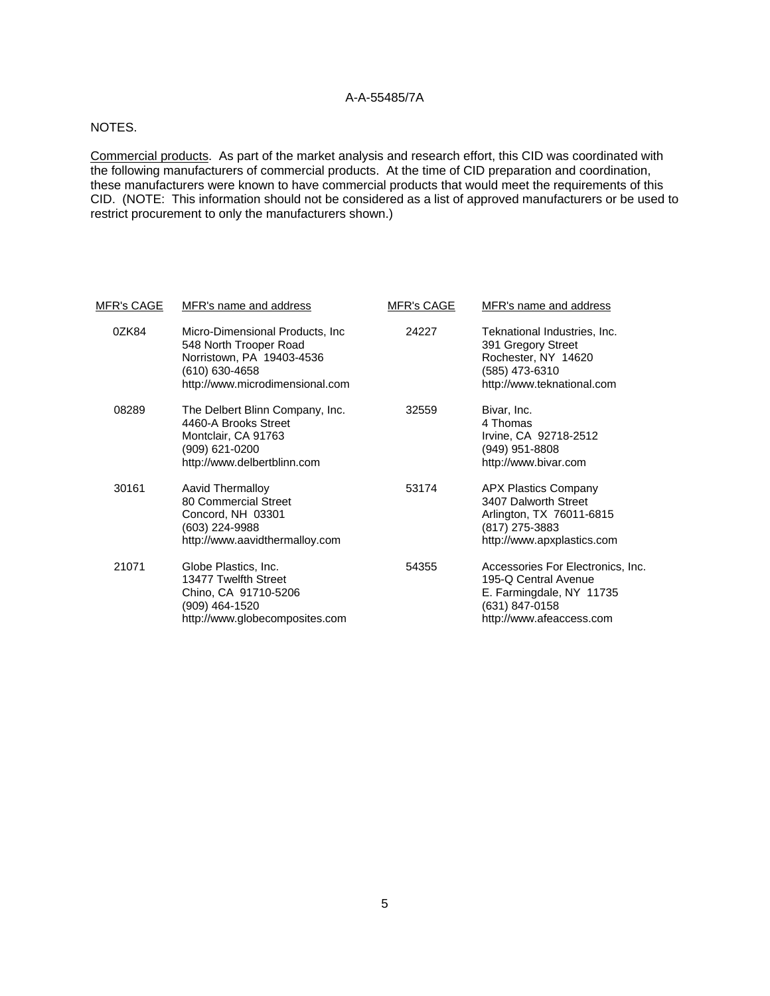#### NOTES.

Commercial products. As part of the market analysis and research effort, this CID was coordinated with the following manufacturers of commercial products. At the time of CID preparation and coordination, these manufacturers were known to have commercial products that would meet the requirements of this CID. (NOTE: This information should not be considered as a list of approved manufacturers or be used to restrict procurement to only the manufacturers shown.)

| <u>MFR's CAGE</u> | MFR's name and address                                                                                                                       | <b>MFR's CAGE</b> | MFR's name and address                                                                                                              |  |  |
|-------------------|----------------------------------------------------------------------------------------------------------------------------------------------|-------------------|-------------------------------------------------------------------------------------------------------------------------------------|--|--|
| 0ZK84             | Micro-Dimensional Products, Inc.<br>548 North Trooper Road<br>Norristown, PA 19403-4536<br>(610) 630-4658<br>http://www.microdimensional.com | 24227             | Teknational Industries, Inc.<br>391 Gregory Street<br>Rochester, NY 14620<br>(585) 473-6310<br>http://www.teknational.com           |  |  |
| 08289             | The Delbert Blinn Company, Inc.<br>4460-A Brooks Street<br>Montclair, CA 91763<br>(909) 621-0200<br>http://www.delbertblinn.com              | 32559             | Bivar, Inc.<br>4 Thomas<br>Irvine, CA 92718-2512<br>(949) 951-8808<br>http://www.bivar.com                                          |  |  |
| 30161             | Aavid Thermalloy<br>80 Commercial Street<br>Concord, NH 03301<br>(603) 224-9988<br>http://www.aavidthermalloy.com                            | 53174             | <b>APX Plastics Company</b><br>3407 Dalworth Street<br>Arlington, TX 76011-6815<br>(817) 275-3883<br>http://www.apxplastics.com     |  |  |
| 21071             | Globe Plastics, Inc.<br>13477 Twelfth Street<br>Chino, CA 91710-5206<br>(909) 464-1520<br>http://www.globecomposites.com                     | 54355             | Accessories For Electronics, Inc.<br>195-Q Central Avenue<br>E. Farmingdale, NY 11735<br>(631) 847-0158<br>http://www.afeaccess.com |  |  |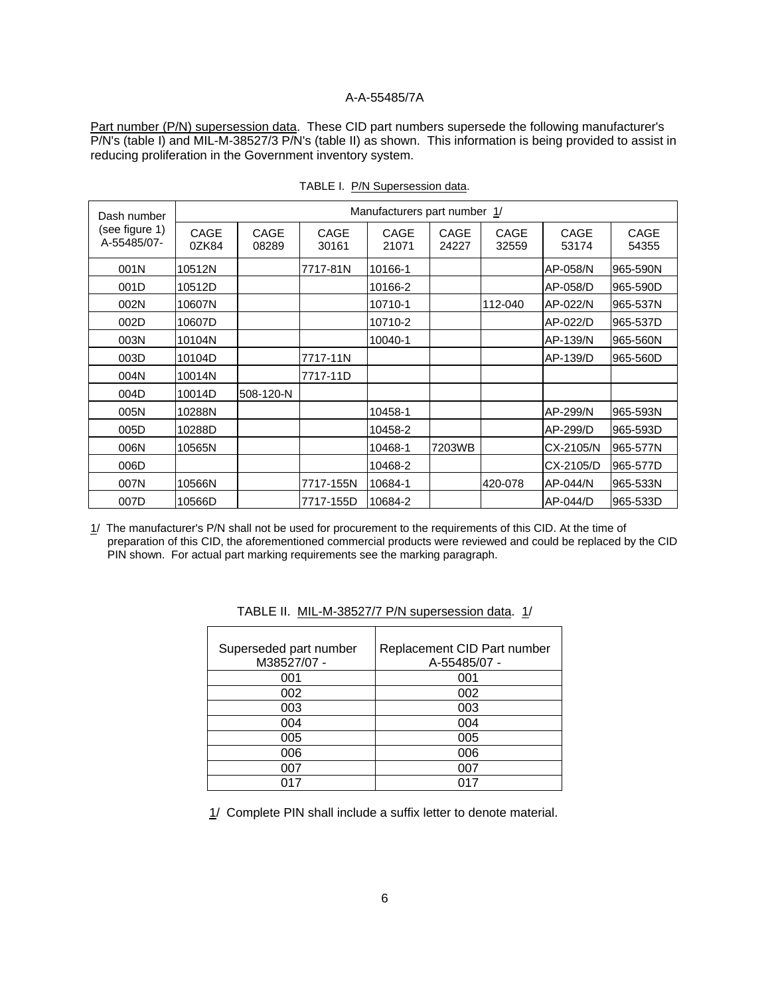Part number (P/N) supersession data. These CID part numbers supersede the following manufacturer's P/N's (table I) and MIL-M-38527/3 P/N's (table II) as shown. This information is being provided to assist in reducing proliferation in the Government inventory system.

| Dash number<br>(see figure 1)<br>A-55485/07- | Manufacturers part number 1/ |               |               |               |               |               |                      |               |
|----------------------------------------------|------------------------------|---------------|---------------|---------------|---------------|---------------|----------------------|---------------|
|                                              | CAGE<br>0ZK84                | CAGE<br>08289 | CAGE<br>30161 | CAGE<br>21071 | CAGE<br>24227 | CAGE<br>32559 | <b>CAGE</b><br>53174 | CAGE<br>54355 |
| 001N                                         | 10512N                       |               | 7717-81N      | 10166-1       |               |               | AP-058/N             | 965-590N      |
| 001D                                         | 10512D                       |               |               | 10166-2       |               |               | AP-058/D             | 965-590D      |
| 002N                                         | 10607N                       |               |               | 10710-1       |               | 112-040       | AP-022/N             | 965-537N      |
| 002D                                         | 10607D                       |               |               | 10710-2       |               |               | AP-022/D             | 965-537D      |
| 003N                                         | 10104N                       |               |               | 10040-1       |               |               | AP-139/N             | 965-560N      |
| 003D                                         | 10104D                       |               | 7717-11N      |               |               |               | AP-139/D             | 965-560D      |
| 004N                                         | 10014N                       |               | 7717-11D      |               |               |               |                      |               |
| 004D                                         | 10014D                       | 508-120-N     |               |               |               |               |                      |               |
| 005N                                         | 10288N                       |               |               | 10458-1       |               |               | AP-299/N             | 965-593N      |
| 005D                                         | 10288D                       |               |               | 10458-2       |               |               | AP-299/D             | 965-593D      |
| 006N                                         | 10565N                       |               |               | 10468-1       | 7203WB        |               | CX-2105/N            | 965-577N      |
| 006D                                         |                              |               |               | 10468-2       |               |               | CX-2105/D            | 965-577D      |
| 007N                                         | 10566N                       |               | 7717-155N     | 10684-1       |               | 420-078       | AP-044/N             | 965-533N      |
| 007D                                         | 10566D                       |               | 7717-155D     | 10684-2       |               |               | AP-044/D             | 965-533D      |

TABLE I. P/N Supersession data.

1/ The manufacturer's P/N shall not be used for procurement to the requirements of this CID. At the time of preparation of this CID, the aforementioned commercial products were reviewed and could be replaced by the CID PIN shown. For actual part marking requirements see the marking paragraph.

| Superseded part number<br>M38527/07 - | Replacement CID Part number<br>A-55485/07 - |
|---------------------------------------|---------------------------------------------|
| 001                                   | 001                                         |
| 002                                   | 002                                         |
| 003                                   | 003                                         |
| 004                                   | 004                                         |
| 005                                   | 005                                         |
| 006                                   | 006                                         |
| ሰሰ7                                   | 007                                         |
| N17                                   | በ17                                         |

TABLE II. MIL-M-38527/7 P/N supersession data. 1/

1/ Complete PIN shall include a suffix letter to denote material.